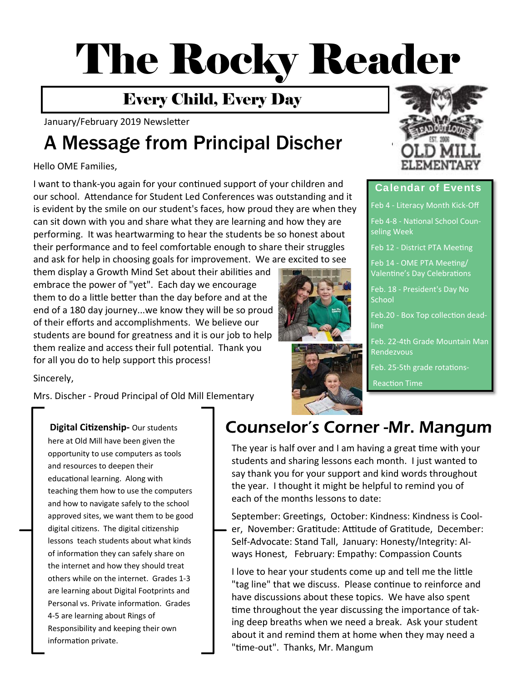# The Rocky Reader

## Every Child, Every Day

January/February 2019 Newsletter

## A Message from Principal Discher

#### Hello OME Families,

I want to thank-you again for your continued support of your children and our school. AƩendance for Student Led Conferences was outstanding and it is evident by the smile on our student's faces, how proud they are when they can sit down with you and share what they are learning and how they are performing. It was heartwarming to hear the students be so honest about their performance and to feel comfortable enough to share their struggles and ask for help in choosing goals for improvement. We are excited to see

them display a Growth Mind Set about their abilities and embrace the power of "yet". Each day we encourage them to do a little better than the day before and at the end of a 180 day journey...we know they will be so proud of their efforts and accomplishments. We believe our students are bound for greatness and it is our job to help them realize and access their full potential. Thank you for all you do to help support this process!

Sincerely,

Mrs. Discher ‐ Proud Principal of Old Mill Elementary

here at Old Mill have been given the opportunity to use computers as tools and resources to deepen their educational learning. Along with teaching them how to use the computers and how to navigate safely to the school approved sites, we want them to be good digital citizens. The digital citizenship lessons teach students about what kinds of information they can safely share on the internet and how they should treat others while on the internet. Grades 1‐3 are learning about Digital Footprints and Personal vs. Private information. Grades 4‐5 are learning about Rings of Responsibility and keeping their own information private.





#### Calendar of Events

Feb 4 ‐ Literacy Month Kick‐Off

Feb 4‐8 ‐ NaƟonal School Coun‐ seling Week

Feb 12 - District PTA Meeting

Feb 14 - OME PTA Meeting/ Valentine's Day Celebrations

Feb. 18 ‐ President's Day No **School** 

Feb.20 - Box Top collection deadline

Feb. 22‐4th Grade Mountain Man Rendezvous

Feb. 25-5th grade rotations-

**Reaction Time** 

## Digital Citizenship- Our students **COUNSEL AUTER COUNTIER COUNTER -Mr. Mangum**

The year is half over and I am having a great time with your students and sharing lessons each month. I just wanted to say thank you for your support and kind words throughout the year. I thought it might be helpful to remind you of each of the months lessons to date:

September: Greetings, October: Kindness: Kindness is Cooler, November: Gratitude: Attitude of Gratitude, December: Self‐Advocate: Stand Tall, January: Honesty/Integrity: Al‐ ways Honest, February: Empathy: Compassion Counts

I love to hear your students come up and tell me the little "tag line" that we discuss. Please continue to reinforce and have discussions about these topics. We have also spent time throughout the year discussing the importance of taking deep breaths when we need a break. Ask your student about it and remind them at home when they may need a "time-out". Thanks, Mr. Mangum